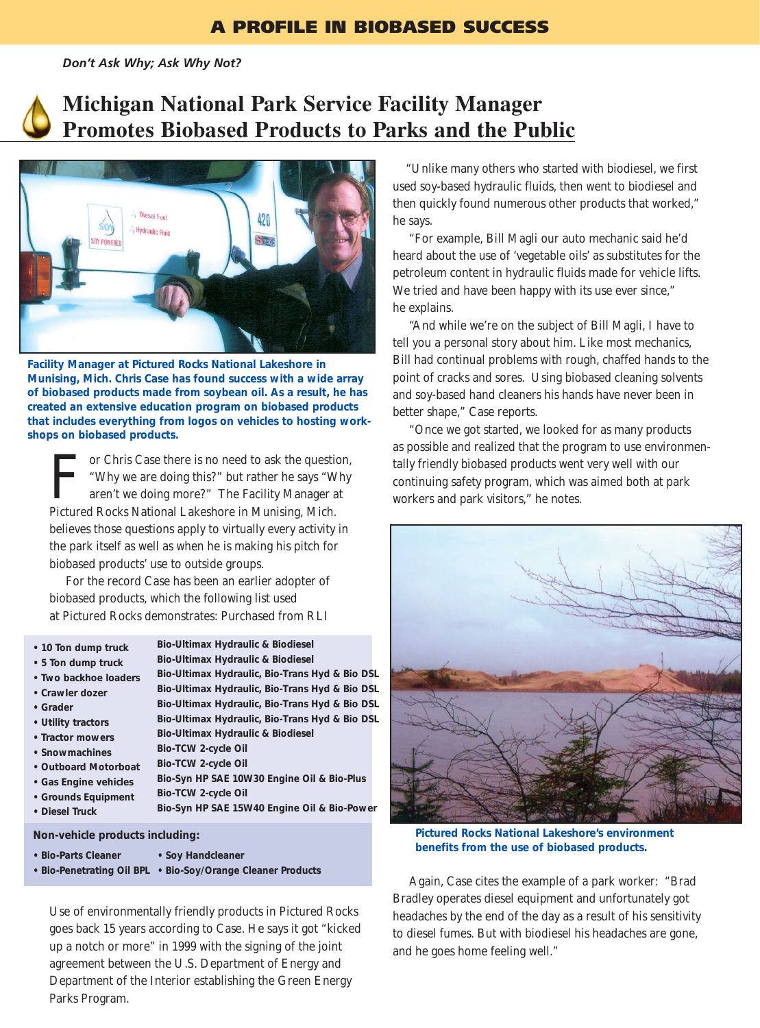*Don't Ask Why; Ask Why Not?* 





**Facility Manager at Pictured Rocks National Lakeshore in Munising, Mich. Chris Case has found success with a wide array of biobased products made from soybean oil. As a result, he has created an extensive education program on biobased products that includes everything from logos on vehicles to hosting workshops on biobased products.**

For Chris Case there is no need to ask the question,<br>
"Why we are doing this?" but rather he says "Why aren't we doing more?" The Facility Manager at<br>
Pictured Rocks National Lakeshore in Munising Mich "Why we are doing this?" but rather he says "Why aren't we doing more?" The Facility Manager at Pictured Rocks National Lakeshore in Munising, Mich. believes those questions apply to virtually every activity in the park itself as well as when he is making his pitch for biobased products' use to outside groups.

For the record Case has been an earlier adopter of biobased products, which the following list used at Pictured Rocks demonstrates: Purchased from RLI

- **10 Ton dump truck**
- **5 Ton dump truck**
- **Two backhoe loaders**
- **Crawler dozer**
- **Grader**
- **Utility tractors**
- **Tractor mowers**
- **Snowmachines**
- **Outboard Motorboat**
- **Gas Engine vehicles**
- **Grounds Equipment**
- **Diesel Truck**
- **Bio-Ultimax Hydraulic & Biodiesel Bio-Ultimax Hydraulic & Biodiesel**
- **Bio-Ultimax Hydraulic, Bio-Trans Hyd & Bio DSL Bio-Ultimax Hydraulic, Bio-Trans Hyd & Bio DSL Bio-Ultimax Hydraulic, Bio-Trans Hyd & Bio DSL Bio-Ultimax Hydraulic, Bio-Trans Hyd & Bio DSL Bio-Ultimax Hydraulic & Biodiesel Bio-TCW 2-cycle Oil Bio-TCW 2-cycle Oil Bio-Syn HP SAE 10W30 Engine Oil & Bio-Plus Bio-TCW 2-cycle Oil Bio-Syn HP SAE 15W40 Engine Oil & Bio-Power**

**Non-vehicle products including:**

- **Bio-Parts Cleaner • Soy Handcleaner**
- **Bio-Penetrating Oil BPL Bio-Soy/Orange Cleaner Products**

Use of environmentally friendly products in Pictured Rocks goes back 15 years according to Case. He says it got "kicked up a notch or more" in 1999 with the signing of the joint agreement between the U.S. Department of Energy and Department of the Interior establishing the Green Energy Parks Program.

"Unlike many others who started with biodiesel, we first used soy-based hydraulic fluids, then went to biodiesel and then quickly found numerous other products that worked," he says.

"For example, Bill Magli our auto mechanic said he'd heard about the use of 'vegetable oils' as substitutes for the petroleum content in hydraulic fluids made for vehicle lifts. We tried and have been happy with its use ever since," he explains.

"And while we're on the subject of Bill Magli, I have to tell you a personal story about him. Like most mechanics, Bill had continual problems with rough, chaffed hands to the point of cracks and sores. Using biobased cleaning solvents and soy-based hand cleaners his hands have never been in better shape," Case reports.

"Once we got started, we looked for as many products as possible and realized that the program to use environmentally friendly biobased products went very well with our continuing safety program, which was aimed both at park workers and park visitors," he notes.



**Pictured Rocks National Lakeshore's environment benefits from the use of biobased products.**

Again, Case cites the example of a park worker: "Brad Bradley operates diesel equipment and unfortunately got headaches by the end of the day as a result of his sensitivity to diesel fumes. But with biodiesel his headaches are gone, and he goes home feeling well."